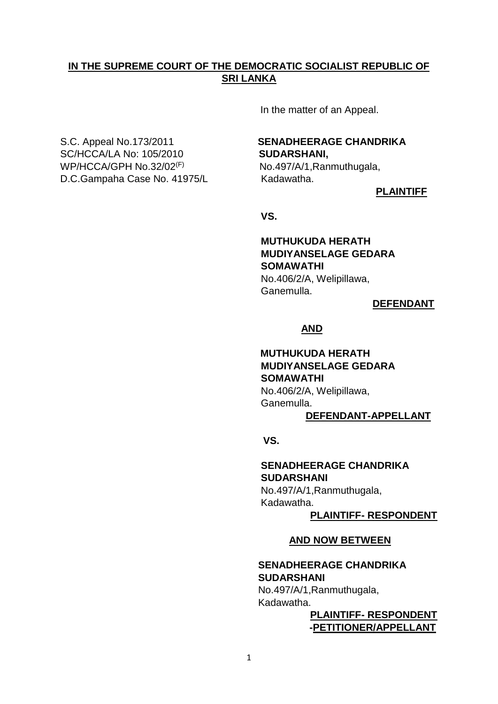# **IN THE SUPREME COURT OF THE DEMOCRATIC SOCIALIST REPUBLIC OF SRI LANKA**

In the matter of an Appeal.

SC/HCCA/LA No: 105/2010 **SUDARSHANI,** WP/HCCA/GPH No.32/02(F) D.C.Gampaha Case No. 41975/L Kadawatha.

# S.C. Appeal No.173/2011 **SENADHEERAGE CHANDRIKA**

No.497/A/1,Ranmuthugala,

**PLAINTIFF**

*SIMPLE STATE STATE STATE STATE STATE STATE STATE STATE STATE STATE STATE STATE STATE STATE STATE STATE STATE STATE STATE STATE STATE STATE STATE STATE STATE STATE STATE STATE STATE STATE STATE STATE STATE STATE STATE STA* 

# **MUTHUKUDA HERATH MUDIYANSELAGE GEDARA SOMAWATHI**

No.406/2/A, Welipillawa, Ganemulla.

**DEFENDANT**

#### **AND**

# **MUTHUKUDA HERATH MUDIYANSELAGE GEDARA SOMAWATHI** No.406/2/A, Welipillawa, Ganemulla.

# **DEFENDANT-APPELLANT**

 **VS.**

 **SENADHEERAGE CHANDRIKA SUDARSHANI** No.497/A/1,Ranmuthugala, Kadawatha.

**PLAINTIFF- RESPONDENT**

#### **AND NOW BETWEEN**

### **SENADHEERAGE CHANDRIKA SUDARSHANI**

No.497/A/1,Ranmuthugala, Kadawatha.

 **PLAINTIFF- RESPONDENT -PETITIONER/APPELLANT**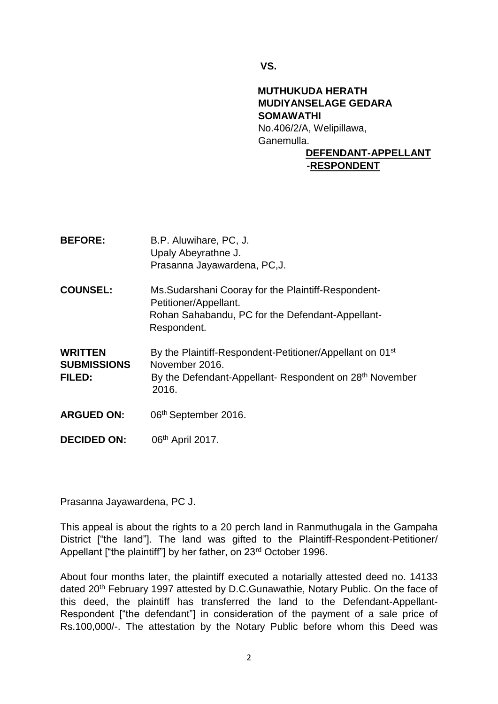**VS.**

# **MUTHUKUDA HERATH MUDIYANSELAGE GEDARA SOMAWATHI** No.406/2/A, Welipillawa, Ganemulla. **DEFENDANT-APPELLANT**

# **-RESPONDENT**

| <b>BEFORE:</b>                                 | B.P. Aluwihare, PC, J.<br>Upaly Abeyrathne J.<br>Prasanna Jayawardena, PC, J.                                                                                          |
|------------------------------------------------|------------------------------------------------------------------------------------------------------------------------------------------------------------------------|
| <b>COUNSEL:</b>                                | Ms. Sudarshani Cooray for the Plaintiff-Respondent-<br>Petitioner/Appellant.<br>Rohan Sahabandu, PC for the Defendant-Appellant-<br>Respondent.                        |
| <b>WRITTEN</b><br><b>SUBMISSIONS</b><br>FILED: | By the Plaintiff-Respondent-Petitioner/Appellant on 01 <sup>st</sup><br>November 2016.<br>By the Defendant-Appellant- Respondent on 28 <sup>th</sup> November<br>2016. |
| <b>ARGUED ON:</b>                              | 06th September 2016.                                                                                                                                                   |
| <b>DECIDED ON:</b>                             | 06 <sup>th</sup> April 2017.                                                                                                                                           |

Prasanna Jayawardena, PC J.

This appeal is about the rights to a 20 perch land in Ranmuthugala in the Gampaha District ["the land"]. The land was gifted to the Plaintiff-Respondent-Petitioner/ Appellant ["the plaintiff"] by her father, on 23<sup>rd</sup> October 1996.

About four months later, the plaintiff executed a notarially attested deed no. 14133 dated 20<sup>th</sup> February 1997 attested by D.C.Gunawathie, Notary Public. On the face of this deed, the plaintiff has transferred the land to the Defendant-Appellant-Respondent ["the defendant"] in consideration of the payment of a sale price of Rs.100,000/-. The attestation by the Notary Public before whom this Deed was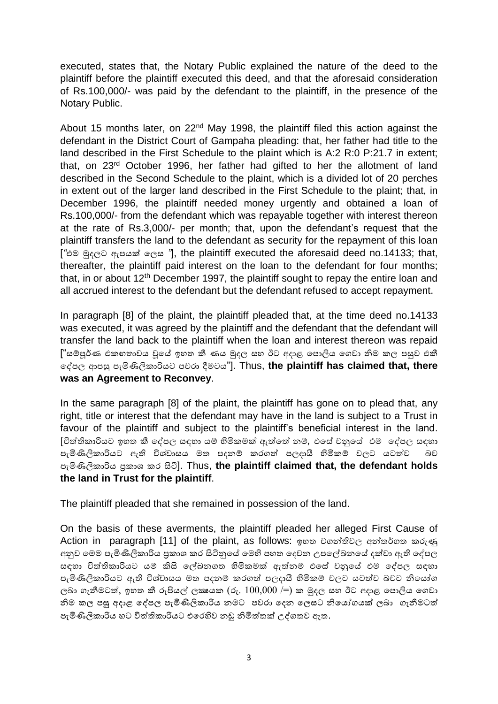executed, states that, the Notary Public explained the nature of the deed to the plaintiff before the plaintiff executed this deed, and that the aforesaid consideration of Rs.100,000/- was paid by the defendant to the plaintiff, in the presence of the Notary Public.

About 15 months later, on 22<sup>nd</sup> May 1998, the plaintiff filed this action against the defendant in the District Court of Gampaha pleading: that, her father had title to the land described in the First Schedule to the plaint which is A:2 R:0 P:21.7 in extent; that, on 23rd October 1996, her father had gifted to her the allotment of land described in the Second Schedule to the plaint, which is a divided lot of 20 perches in extent out of the larger land described in the First Schedule to the plaint; that, in December 1996, the plaintiff needed money urgently and obtained a loan of Rs.100,000/- from the defendant which was repayable together with interest thereon at the rate of Rs.3,000/- per month; that, upon the defendant's request that the plaintiff transfers the land to the defendant as security for the repayment of this loan [*"*එම මුදලට ඇපයක් ලලස *"*], the plaintiff executed the aforesaid deed no.14133; that, thereafter, the plaintiff paid interest on the loan to the defendant for four months; that, in or about  $12<sup>th</sup>$  December 1997, the plaintiff sought to repay the entire loan and all accrued interest to the defendant but the defendant refused to accept repayment.

In paragraph [8] of the plaint, the plaintiff pleaded that, at the time deed no.14133 was executed, it was agreed by the plaintiff and the defendant that the defendant will transfer the land back to the plaintiff when the loan and interest thereon was repaid ["සම්පූර්ණ එකඟතාවය වූලේ ඉහත කී ණය මුදල සහ ඊට අදාළ ලපාලිය ලෙවා නිම කල පසුව එකී ලේපල ආපසු පැමිණිලිකාරියට පවරා දීමටය"]. Thus, **the plaintiff has claimed that, there was an Agreement to Reconvey**.

In the same paragraph [8] of the plaint, the plaintiff has gone on to plead that, any right, title or interest that the defendant may have in the land is subject to a Trust in favour of the plaintiff and subject to the plaintiff's beneficial interest in the land. [විත්තිකාරියට ඉහත කී ලේපල සඳහා යම්ප හිමිකමක් ඇත්තලත්ත නම්ප*,* එලසේ වනුලේ එම ලේපල සඳහා පැමිණිලිකාරියට ඇති විශ්වාසය මත පදනම් කරගත් පලදායී හිමිකම් වලට යටත්ව බව පැමිණිලිකාරිය ප්රකාශ කර සිටී]. Thus, **the plaintiff claimed that, the defendant holds the land in Trust for the plaintiff**.

The plaintiff pleaded that she remained in possession of the land.

On the basis of these averments, the plaintiff pleaded her alleged First Cause of Action in paragraph [11] of the plaint, as follows: ඉහත වගන්තිවල අන්තර්ගත කරුණු අනුව මෙම පැමිණිලිකාරිය පුකාශ කර සිටිනුයේ මෙහි පහත දෙවන උපලේඛනයේ දක්වා ඇති දේපල සඳහා විත්තිකාරියට යම් කිසි ලේඛනගත හිමිකමක් ඇත්තම් එසේ වනුයේ එම දේපල සඳහා පැමිණිලිකාරියට ඇති විශ්වාසය මත පදනම් කරගත් පලදායී හිමිකම් වලට යටත්ව බවට නියෝග ලබා ගැනීමටත්, ඉහත කී රුපියල් ලකුයක (රු.  $100{,}000$  /=) ක මුදල සහ ඊට අදාළ පොලිය ගෙවා නිම කල පසු අදාළ දේපල පැමිණිලිකාරිය නමට පවරා දෙන ලෙසට නියෝගයක් ලබා ගැනීමටත් පැමිණිලිකාරිය හට විත්තිකාරියට එලරහිව නඩු නිමිත්තතක් උේෙතව ඇත.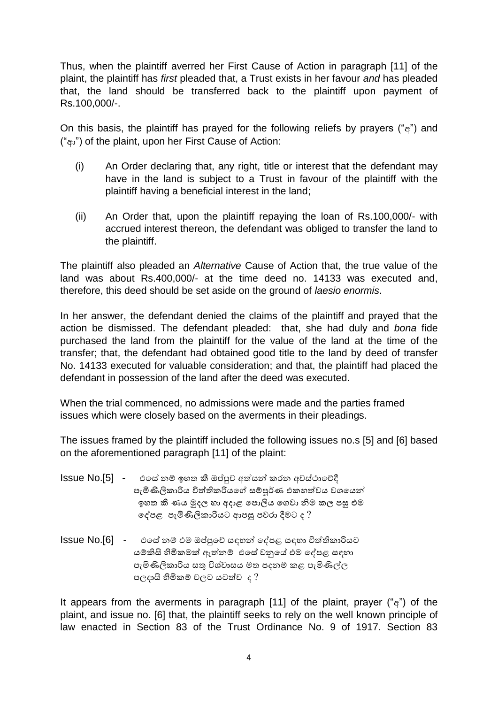Thus, when the plaintiff averred her First Cause of Action in paragraph [11] of the plaint, the plaintiff has *first* pleaded that, a Trust exists in her favour *and* has pleaded that, the land should be transferred back to the plaintiff upon payment of Rs.100,000/-.

On this basis, the plaintiff has prayed for the following reliefs by prayers ("අ") and ("ආ") of the plaint, upon her First Cause of Action:

- (i) An Order declaring that, any right, title or interest that the defendant may have in the land is subject to a Trust in favour of the plaintiff with the plaintiff having a beneficial interest in the land;
- (ii) An Order that, upon the plaintiff repaying the loan of Rs.100,000/- with accrued interest thereon, the defendant was obliged to transfer the land to the plaintiff.

The plaintiff also pleaded an *Alternative* Cause of Action that, the true value of the land was about Rs.400,000/- at the time deed no. 14133 was executed and, therefore, this deed should be set aside on the ground of *laesio enormis*.

In her answer, the defendant denied the claims of the plaintiff and prayed that the action be dismissed. The defendant pleaded: that, she had duly and *bona* fide purchased the land from the plaintiff for the value of the land at the time of the transfer; that, the defendant had obtained good title to the land by deed of transfer No. 14133 executed for valuable consideration; and that, the plaintiff had placed the defendant in possession of the land after the deed was executed.

When the trial commenced, no admissions were made and the parties framed issues which were closely based on the averments in their pleadings.

The issues framed by the plaintiff included the following issues no.s [5] and [6] based on the aforementioned paragraph [11] of the plaint:

- Issue No.[5] එසේ නම් ඉහත කී ඔප්පුව අත්සන් කරන අවස්ථාවේදී පැමිණිලිකාරිය විත්තිකරියගේ සම්පූර්ණ එකගත්වය වශයෙන් ඉහත කී ණය මුදල හා අදාළ ලපාලිය ලෙවා නිම කල පසු එම ලේපළ පැමිණිලිකාරියට ආපසු පවරා දීමට ද ?
- $I$ ssue  $No.[6]$  එසේ නම් එම ඔප්පුවේ සඳහන් දේපළ සඳහා විත්තිකාරියට යම්පකිසි හිමිකමක් ඇත්තනම්ප එලසේවනුලේ එම ලේපළ සඳහා පැමිණිලිකාරිය සතු විශ්වාසය මත පදනම් කළ පැමිණිල්ල පලදායි හිමිකම්ප වලට යටත්තව ද ?

It appears from the averments in paragraph [11] of the plaint, prayer (" $a$ ") of the plaint, and issue no. [6] that, the plaintiff seeks to rely on the well known principle of law enacted in Section 83 of the Trust Ordinance No. 9 of 1917. Section 83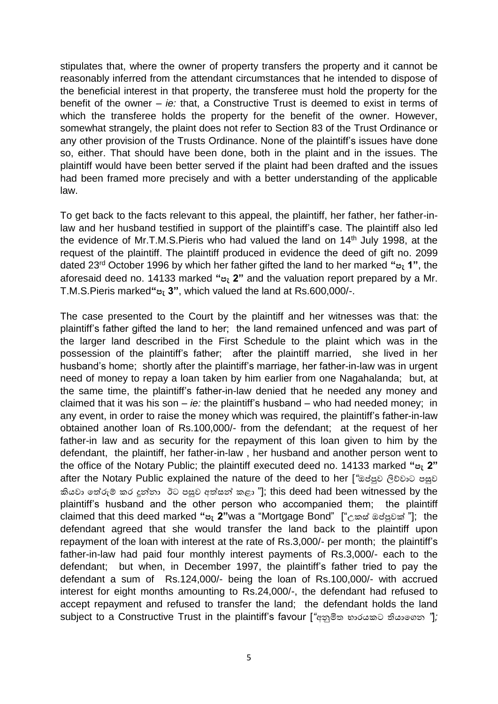stipulates that, where the owner of property transfers the property and it cannot be reasonably inferred from the attendant circumstances that he intended to dispose of the beneficial interest in that property, the transferee must hold the property for the benefit of the owner – *ie:* that, a Constructive Trust is deemed to exist in terms of which the transferee holds the property for the benefit of the owner. However, somewhat strangely, the plaint does not refer to Section 83 of the Trust Ordinance or any other provision of the Trusts Ordinance. None of the plaintiff's issues have done so, either. That should have been done, both in the plaint and in the issues. The plaintiff would have been better served if the plaint had been drafted and the issues had been framed more precisely and with a better understanding of the applicable law.

To get back to the facts relevant to this appeal, the plaintiff, her father, her father-inlaw and her husband testified in support of the plaintiff's case. The plaintiff also led the evidence of Mr.T.M.S. Pieris who had valued the land on 14<sup>th</sup> July 1998, at the request of the plaintiff. The plaintiff produced in evidence the deed of gift no. 2099 dated 23rd October 1996 by which her father gifted the land to her marked **"පැ 1"**, the aforesaid deed no. 14133 marked **"පැ 2"** and the valuation report prepared by a Mr. T.M.S.Pieris marked**"පැ 3"**, which valued the land at Rs.600,000/-.

The case presented to the Court by the plaintiff and her witnesses was that: the plaintiff's father gifted the land to her; the land remained unfenced and was part of the larger land described in the First Schedule to the plaint which was in the possession of the plaintiff's father; after the plaintiff married, she lived in her husband's home; shortly after the plaintiff's marriage, her father-in-law was in urgent need of money to repay a loan taken by him earlier from one Nagahalanda; but, at the same time, the plaintiff's father-in-law denied that he needed any money and claimed that it was his son – *ie:* the plaintiff's husband – who had needed money; in any event, in order to raise the money which was required, the plaintiff's father-in-law obtained another loan of Rs.100,000/- from the defendant; at the request of her father-in law and as security for the repayment of this loan given to him by the defendant, the plaintiff, her father-in-law , her husband and another person went to the office of the Notary Public; the plaintiff executed deed no. 14133 marked **"පැ 2"**  after the Notary Public explained the nature of the deed to her [*"*ඔප්පුව ලිේවාට පසුව කියවා තේරුම් කර දුන්නා ඊට පසුව අත්සන් කළා "]; this deed had been witnessed by the plaintiff's husband and the other person who accompanied them; the plaintiff claimed that this deed marked **"පැ 2"**was a "Mortgage Bond" ["උකසේඔප්පුවක් "]; the defendant agreed that she would transfer the land back to the plaintiff upon repayment of the loan with interest at the rate of Rs.3,000/- per month; the plaintiff's father-in-law had paid four monthly interest payments of Rs.3,000/- each to the defendant; but when, in December 1997, the plaintiff's father tried to pay the defendant a sum of Rs.124,000/- being the loan of Rs.100,000/- with accrued interest for eight months amounting to Rs.24,000/-, the defendant had refused to accept repayment and refused to transfer the land; the defendant holds the land subject to a Constructive Trust in the plaintiff's favour [*"*අනුමිත භාරයකට ියාලෙන *"*]*;*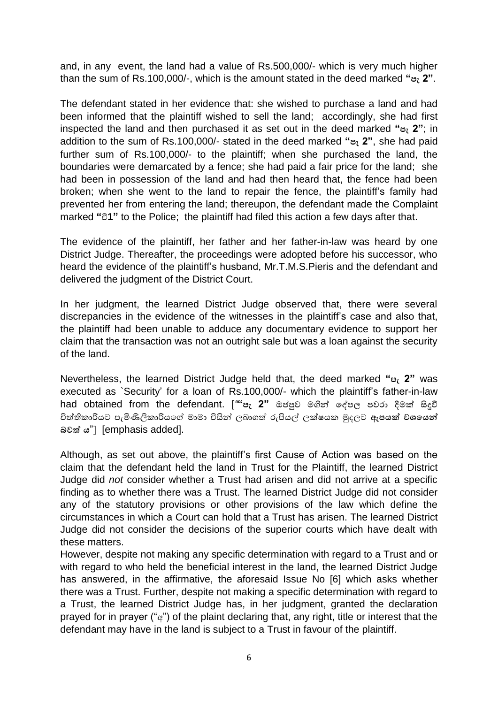and, in any event, the land had a value of Rs.500,000/- which is very much higher than the sum of Rs.100,000/-, which is the amount stated in the deed marked **"පැ 2"**.

The defendant stated in her evidence that: she wished to purchase a land and had been informed that the plaintiff wished to sell the land; accordingly, she had first inspected the land and then purchased it as set out in the deed marked **"පැ 2"**; in addition to the sum of Rs.100,000/- stated in the deed marked **"පැ 2"**, she had paid further sum of Rs.100,000/- to the plaintiff; when she purchased the land, the boundaries were demarcated by a fence; she had paid a fair price for the land; she had been in possession of the land and had then heard that, the fence had been broken; when she went to the land to repair the fence, the plaintiff's family had prevented her from entering the land; thereupon, the defendant made the Complaint marked **"**වී**1"** to the Police; the plaintiff had filed this action a few days after that.

The evidence of the plaintiff, her father and her father-in-law was heard by one District Judge. Thereafter, the proceedings were adopted before his successor, who heard the evidence of the plaintiff's husband, Mr.T.M.S.Pieris and the defendant and delivered the judgment of the District Court.

In her judgment, the learned District Judge observed that, there were several discrepancies in the evidence of the witnesses in the plaintiff's case and also that, the plaintiff had been unable to adduce any documentary evidence to support her claim that the transaction was not an outright sale but was a loan against the security of the land.

Nevertheless, the learned District Judge held that, the deed marked **"පැ 2"** was executed as `Security' for a loan of Rs.100,000/- which the plaintiff's father-in-law had obtained from the defendant. [*"***"පැ 2"** ඔප්පුව මගින්ත ලේපල පවරා දීමක් සිදුවී විත්තිකාරියට පැමිණිලිකාරියලේ මාමා විසින්ත ලබාෙත්ත රුපියේ ලක්ෂයක මුදලට **ඇපයක් වශයයන් බවත් ය**"] [emphasis added].

Although, as set out above, the plaintiff's first Cause of Action was based on the claim that the defendant held the land in Trust for the Plaintiff, the learned District Judge did *not* consider whether a Trust had arisen and did not arrive at a specific finding as to whether there was a Trust. The learned District Judge did not consider any of the statutory provisions or other provisions of the law which define the circumstances in which a Court can hold that a Trust has arisen. The learned District Judge did not consider the decisions of the superior courts which have dealt with these matters.

However, despite not making any specific determination with regard to a Trust and or with regard to who held the beneficial interest in the land, the learned District Judge has answered, in the affirmative, the aforesaid Issue No [6] which asks whether there was a Trust. Further, despite not making a specific determination with regard to a Trust, the learned District Judge has, in her judgment, granted the declaration prayed for in prayer ("අ") of the plaint declaring that, any right, title or interest that the defendant may have in the land is subject to a Trust in favour of the plaintiff.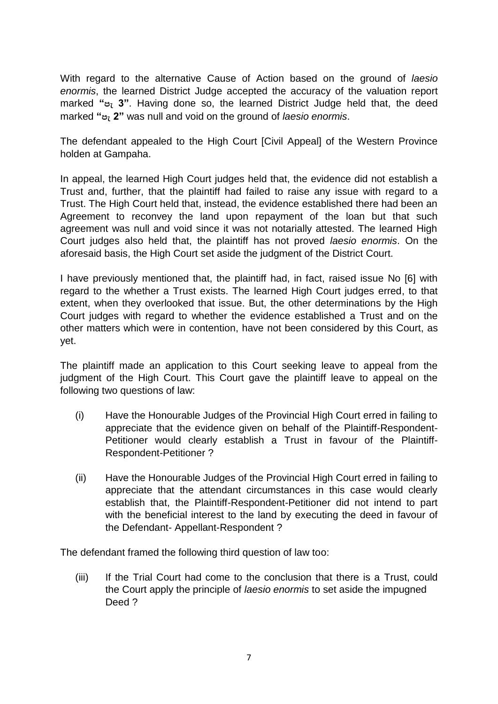With regard to the alternative Cause of Action based on the ground of *laesio enormis*, the learned District Judge accepted the accuracy of the valuation report marked **"පැ 3"**. Having done so, the learned District Judge held that, the deed marked **"පැ 2"** was null and void on the ground of *laesio enormis*.

The defendant appealed to the High Court [Civil Appeal] of the Western Province holden at Gampaha.

In appeal, the learned High Court judges held that, the evidence did not establish a Trust and, further, that the plaintiff had failed to raise any issue with regard to a Trust. The High Court held that, instead, the evidence established there had been an Agreement to reconvey the land upon repayment of the loan but that such agreement was null and void since it was not notarially attested. The learned High Court judges also held that, the plaintiff has not proved *laesio enormis*. On the aforesaid basis, the High Court set aside the judgment of the District Court.

I have previously mentioned that, the plaintiff had, in fact, raised issue No [6] with regard to the whether a Trust exists. The learned High Court judges erred, to that extent, when they overlooked that issue. But, the other determinations by the High Court judges with regard to whether the evidence established a Trust and on the other matters which were in contention, have not been considered by this Court, as yet.

The plaintiff made an application to this Court seeking leave to appeal from the judgment of the High Court. This Court gave the plaintiff leave to appeal on the following two questions of law:

- (i) Have the Honourable Judges of the Provincial High Court erred in failing to appreciate that the evidence given on behalf of the Plaintiff-Respondent-Petitioner would clearly establish a Trust in favour of the Plaintiff-Respondent-Petitioner ?
- (ii) Have the Honourable Judges of the Provincial High Court erred in failing to appreciate that the attendant circumstances in this case would clearly establish that, the Plaintiff-Respondent-Petitioner did not intend to part with the beneficial interest to the land by executing the deed in favour of the Defendant- Appellant-Respondent ?

The defendant framed the following third question of law too:

(iii) If the Trial Court had come to the conclusion that there is a Trust, could the Court apply the principle of *laesio enormis* to set aside the impugned Deed ?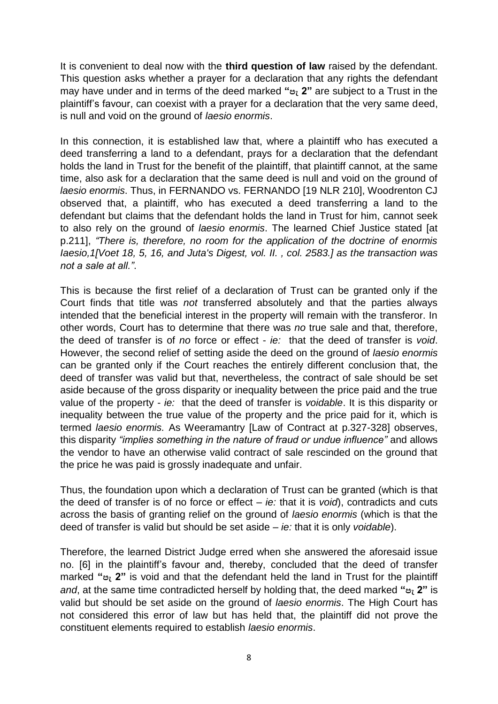It is convenient to deal now with the **third question of law** raised by the defendant. This question asks whether a prayer for a declaration that any rights the defendant may have under and in terms of the deed marked **"පැ 2"** are subject to a Trust in the plaintiff's favour, can coexist with a prayer for a declaration that the very same deed, is null and void on the ground of *laesio enormis*.

In this connection, it is established law that, where a plaintiff who has executed a deed transferring a land to a defendant, prays for a declaration that the defendant holds the land in Trust for the benefit of the plaintiff, that plaintiff cannot, at the same time, also ask for a declaration that the same deed is null and void on the ground of *laesio enormis*. Thus, in FERNANDO vs. FERNANDO [19 NLR 210], Woodrenton CJ observed that, a plaintiff, who has executed a deed transferring a land to the defendant but claims that the defendant holds the land in Trust for him, cannot seek to also rely on the ground of *laesio enormis*. The learned Chief Justice stated [at p.211], *"There is, therefore, no room for the application of the doctrine of enormis Iaesio,1[Voet 18, 5, 16, and Juta's Digest, vol. II. , col. 2583.] as the transaction was not a sale at all."*.

This is because the first relief of a declaration of Trust can be granted only if the Court finds that title was *not* transferred absolutely and that the parties always intended that the beneficial interest in the property will remain with the transferor. In other words, Court has to determine that there was *no* true sale and that, therefore, the deed of transfer is of *no* force or effect - *ie:* that the deed of transfer is *void*. However, the second relief of setting aside the deed on the ground of *laesio enormis*  can be granted only if the Court reaches the entirely different conclusion that, the deed of transfer was valid but that, nevertheless, the contract of sale should be set aside because of the gross disparity or inequality between the price paid and the true value of the property - *ie:* that the deed of transfer is *voidable*. It is this disparity or inequality between the true value of the property and the price paid for it, which is termed *laesio enormis.* As Weeramantry [Law of Contract at p.327-328] observes, this disparity *"implies something in the nature of fraud or undue influence"* and allows the vendor to have an otherwise valid contract of sale rescinded on the ground that the price he was paid is grossly inadequate and unfair.

Thus, the foundation upon which a declaration of Trust can be granted (which is that the deed of transfer is of no force or effect – *ie:* that it is *void*), contradicts and cuts across the basis of granting relief on the ground of *laesio enormis* (which is that the deed of transfer is valid but should be set aside – *ie:* that it is only *voidable*).

Therefore, the learned District Judge erred when she answered the aforesaid issue no. [6] in the plaintiff's favour and, thereby, concluded that the deed of transfer marked **"පැ 2"** is void and that the defendant held the land in Trust for the plaintiff *and*, at the same time contradicted herself by holding that, the deed marked **"පැ 2"** is valid but should be set aside on the ground of *laesio enormis*. The High Court has not considered this error of law but has held that, the plaintiff did not prove the constituent elements required to establish *laesio enormis*.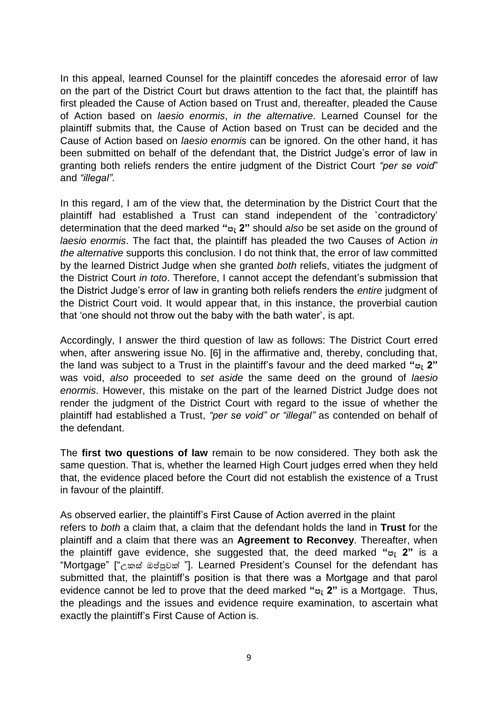In this appeal, learned Counsel for the plaintiff concedes the aforesaid error of law on the part of the District Court but draws attention to the fact that, the plaintiff has first pleaded the Cause of Action based on Trust and, thereafter, pleaded the Cause of Action based on *laesio enormis*, *in the alternative*. Learned Counsel for the plaintiff submits that, the Cause of Action based on Trust can be decided and the Cause of Action based on *laesio enormis* can be ignored. On the other hand, it has been submitted on behalf of the defendant that, the District Judge's error of law in granting both reliefs renders the entire judgment of the District Court *"per se void*" and *"illegal"*.

In this regard, I am of the view that, the determination by the District Court that the plaintiff had established a Trust can stand independent of the `contradictory' determination that the deed marked **"පැ 2"** should *also* be set aside on the ground of *laesio enormis*. The fact that, the plaintiff has pleaded the two Causes of Action *in the alternative* supports this conclusion. I do not think that, the error of law committed by the learned District Judge when she granted *both* reliefs, vitiates the judgment of the District Court *in toto*. Therefore, I cannot accept the defendant's submission that the District Judge's error of law in granting both reliefs renders the *entire* judgment of the District Court void. It would appear that, in this instance, the proverbial caution that 'one should not throw out the baby with the bath water', is apt.

Accordingly, I answer the third question of law as follows: The District Court erred when, after answering issue No. [6] in the affirmative and, thereby, concluding that, the land was subject to a Trust in the plaintiff's favour and the deed marked **"පැ 2"**  was void, *also* proceeded to *set aside* the same deed on the ground of *laesio enormis*. However, this mistake on the part of the learned District Judge does not render the judgment of the District Court with regard to the issue of whether the plaintiff had established a Trust, *"per se void" or "illegal"* as contended on behalf of the defendant.

The **first two questions of law** remain to be now considered. They both ask the same question. That is, whether the learned High Court judges erred when they held that, the evidence placed before the Court did not establish the existence of a Trust in favour of the plaintiff.

As observed earlier, the plaintiff's First Cause of Action averred in the plaint refers to *both* a claim that, a claim that the defendant holds the land in **Trust** for the plaintiff and a claim that there was an **Agreement to Reconvey**. Thereafter, when the plaintiff gave evidence, she suggested that, the deed marked **"පැ 2"** is a "Mortgage" ["උකසේ ඔප්පුවක් "]. Learned President's Counsel for the defendant has submitted that, the plaintiff's position is that there was a Mortgage and that parol evidence cannot be led to prove that the deed marked **"පැ 2"** is a Mortgage. Thus, the pleadings and the issues and evidence require examination, to ascertain what exactly the plaintiff's First Cause of Action is.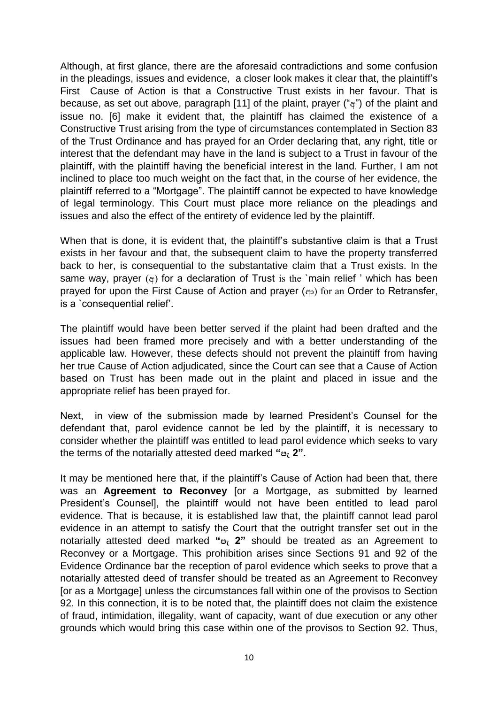Although, at first glance, there are the aforesaid contradictions and some confusion in the pleadings, issues and evidence, a closer look makes it clear that, the plaintiff's First Cause of Action is that a Constructive Trust exists in her favour. That is because, as set out above, paragraph [11] of the plaint, prayer ("a") of the plaint and issue no. [6] make it evident that, the plaintiff has claimed the existence of a Constructive Trust arising from the type of circumstances contemplated in Section 83 of the Trust Ordinance and has prayed for an Order declaring that, any right, title or interest that the defendant may have in the land is subject to a Trust in favour of the plaintiff, with the plaintiff having the beneficial interest in the land. Further, I am not inclined to place too much weight on the fact that, in the course of her evidence, the plaintiff referred to a "Mortgage". The plaintiff cannot be expected to have knowledge of legal terminology. This Court must place more reliance on the pleadings and issues and also the effect of the entirety of evidence led by the plaintiff.

When that is done, it is evident that, the plaintiff's substantive claim is that a Trust exists in her favour and that, the subsequent claim to have the property transferred back to her, is consequential to the substantative claim that a Trust exists. In the same way, prayer  $(e)$  for a declaration of Trust is the `main relief ' which has been prayed for upon the First Cause of Action and prayer  $\left(\alpha_2\right)$  for an Order to Retransfer, is a `consequential relief'.

The plaintiff would have been better served if the plaint had been drafted and the issues had been framed more precisely and with a better understanding of the applicable law. However, these defects should not prevent the plaintiff from having her true Cause of Action adjudicated, since the Court can see that a Cause of Action based on Trust has been made out in the plaint and placed in issue and the appropriate relief has been prayed for.

Next, in view of the submission made by learned President's Counsel for the defendant that, parol evidence cannot be led by the plaintiff, it is necessary to consider whether the plaintiff was entitled to lead parol evidence which seeks to vary the terms of the notarially attested deed marked **"පැ 2".**

It may be mentioned here that, if the plaintiff's Cause of Action had been that, there was an **Agreement to Reconvey** [or a Mortgage, as submitted by learned President's Counsel], the plaintiff would not have been entitled to lead parol evidence. That is because, it is established law that, the plaintiff cannot lead parol evidence in an attempt to satisfy the Court that the outright transfer set out in the notarially attested deed marked **"පැ 2"** should be treated as an Agreement to Reconvey or a Mortgage. This prohibition arises since Sections 91 and 92 of the Evidence Ordinance bar the reception of parol evidence which seeks to prove that a notarially attested deed of transfer should be treated as an Agreement to Reconvey [or as a Mortgage] unless the circumstances fall within one of the provisos to Section 92. In this connection, it is to be noted that, the plaintiff does not claim the existence of fraud, intimidation, illegality, want of capacity, want of due execution or any other grounds which would bring this case within one of the provisos to Section 92. Thus,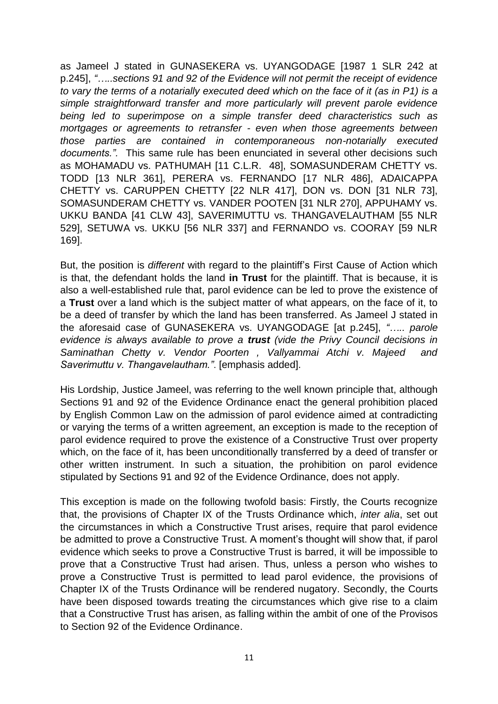as Jameel J stated in GUNASEKERA vs. UYANGODAGE [1987 1 SLR 242 at p.245], *"…..sections 91 and 92 of the Evidence will not permit the receipt of evidence to vary the terms of a notarially executed deed which on the face of it (as in P1) is a simple straightforward transfer and more particularly will prevent parole evidence being led to superimpose on a simple transfer deed characteristics such as mortgages or agreements to retransfer - even when those agreements between those parties are contained in contemporaneous non-notarially executed documents.".* This same rule has been enunciated in several other decisions such as MOHAMADU vs. PATHUMAH [11 C.L.R. 48], SOMASUNDERAM CHETTY vs. TODD [13 NLR 361], PERERA vs. FERNANDO [17 NLR 486], ADAICAPPA CHETTY vs. CARUPPEN CHETTY [22 NLR 417], DON vs. DON [31 NLR 73], SOMASUNDERAM CHETTY vs. VANDER POOTEN [31 NLR 270], APPUHAMY vs. UKKU BANDA [41 CLW 43], SAVERIMUTTU vs. THANGAVELAUTHAM [55 NLR 529], SETUWA vs. UKKU [56 NLR 337] and FERNANDO vs. COORAY [59 NLR 169].

But, the position is *different* with regard to the plaintiff's First Cause of Action which is that, the defendant holds the land **in Trust** for the plaintiff. That is because, it is also a well-established rule that, parol evidence can be led to prove the existence of a **Trust** over a land which is the subject matter of what appears, on the face of it, to be a deed of transfer by which the land has been transferred. As Jameel J stated in the aforesaid case of GUNASEKERA vs. UYANGODAGE [at p.245], *"….. parole evidence is always available to prove a trust (vide the Privy Council decisions in Saminathan Chetty v. Vendor Poorten , Vallyammai Atchi v. Majeed and Saverimuttu v. Thangavelautham."*. [emphasis added].

His Lordship, Justice Jameel, was referring to the well known principle that, although Sections 91 and 92 of the Evidence Ordinance enact the general prohibition placed by English Common Law on the admission of parol evidence aimed at contradicting or varying the terms of a written agreement, an exception is made to the reception of parol evidence required to prove the existence of a Constructive Trust over property which, on the face of it, has been unconditionally transferred by a deed of transfer or other written instrument. In such a situation, the prohibition on parol evidence stipulated by Sections 91 and 92 of the Evidence Ordinance, does not apply.

This exception is made on the following twofold basis: Firstly, the Courts recognize that, the provisions of Chapter IX of the Trusts Ordinance which, *inter alia*, set out the circumstances in which a Constructive Trust arises, require that parol evidence be admitted to prove a Constructive Trust. A moment's thought will show that, if parol evidence which seeks to prove a Constructive Trust is barred, it will be impossible to prove that a Constructive Trust had arisen. Thus, unless a person who wishes to prove a Constructive Trust is permitted to lead parol evidence, the provisions of Chapter IX of the Trusts Ordinance will be rendered nugatory. Secondly, the Courts have been disposed towards treating the circumstances which give rise to a claim that a Constructive Trust has arisen, as falling within the ambit of one of the Provisos to Section 92 of the Evidence Ordinance.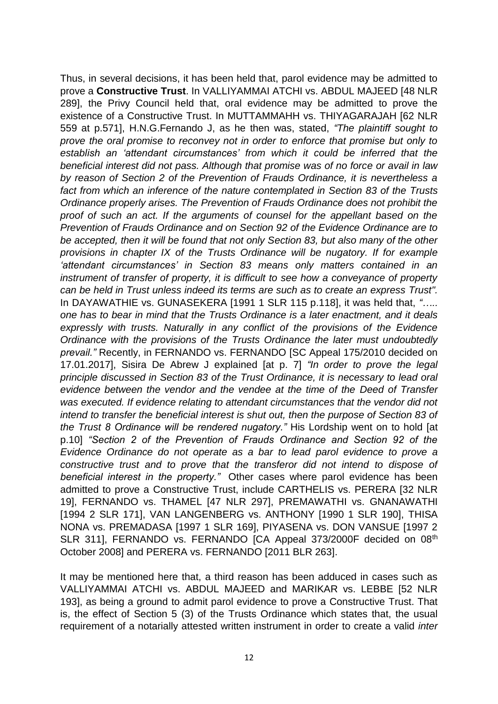Thus, in several decisions, it has been held that, parol evidence may be admitted to prove a **Constructive Trust**. In VALLIYAMMAI ATCHI vs. ABDUL MAJEED [48 NLR 289], the Privy Council held that, oral evidence may be admitted to prove the existence of a Constructive Trust. In MUTTAMMAHH vs. THIYAGARAJAH [62 NLR 559 at p.571], H.N.G.Fernando J, as he then was, stated, *"The plaintiff sought to prove the oral promise to reconvey not in order to enforce that promise but only to establish an 'attendant circumstances' from which it could be inferred that the beneficial interest did not pass. Although that promise was of no force or avail in law by reason of Section 2 of the Prevention of Frauds Ordinance, it is nevertheless a fact from which an inference of the nature contemplated in Section 83 of the Trusts Ordinance properly arises. The Prevention of Frauds Ordinance does not prohibit the proof of such an act. If the arguments of counsel for the appellant based on the Prevention of Frauds Ordinance and on Section 92 of the Evidence Ordinance are to be accepted, then it will be found that not only Section 83, but also many of the other provisions in chapter IX of the Trusts Ordinance will be nugatory. If for example 'attendant circumstances' in Section 83 means only matters contained in an instrument of transfer of property, it is difficult to see how a conveyance of property can be held in Trust unless indeed its terms are such as to create an express Trust".* In DAYAWATHIE vs. GUNASEKERA [1991 1 SLR 115 p.118], it was held that, *"….. one has to bear in mind that the Trusts Ordinance is a later enactment, and it deals expressly with trusts. Naturally in any conflict of the provisions of the Evidence Ordinance with the provisions of the Trusts Ordinance the later must undoubtedly prevail."* Recently, in FERNANDO vs. FERNANDO [SC Appeal 175/2010 decided on 17.01.2017], Sisira De Abrew J explained [at p. 7] *"In order to prove the legal principle discussed in Section 83 of the Trust Ordinance, it is necessary to lead oral evidence between the vendor and the vendee at the time of the Deed of Transfer was executed. If evidence relating to attendant circumstances that the vendor did not intend to transfer the beneficial interest is shut out, then the purpose of Section 83 of the Trust 8 Ordinance will be rendered nugatory."* His Lordship went on to hold [at p.10] *"Section 2 of the Prevention of Frauds Ordinance and Section 92 of the Evidence Ordinance do not operate as a bar to lead parol evidence to prove a constructive trust and to prove that the transferor did not intend to dispose of beneficial interest in the property."* Other cases where parol evidence has been admitted to prove a Constructive Trust, include CARTHELIS vs. PERERA [32 NLR 19], FERNANDO vs. THAMEL [47 NLR 297], PREMAWATHI vs. GNANAWATHI [1994 2 SLR 171], VAN LANGENBERG vs. ANTHONY [1990 1 SLR 190], THISA NONA vs. PREMADASA [1997 1 SLR 169], PIYASENA vs. DON VANSUE [1997 2 SLR 311], FERNANDO vs. FERNANDO [CA Appeal 373/2000F decided on 08<sup>th</sup> October 2008] and PERERA vs. FERNANDO [2011 BLR 263].

It may be mentioned here that, a third reason has been adduced in cases such as VALLIYAMMAI ATCHI vs. ABDUL MAJEED and MARIKAR vs. LEBBE [52 NLR 193], as being a ground to admit parol evidence to prove a Constructive Trust. That is, the effect of Section 5 (3) of the Trusts Ordinance which states that, the usual requirement of a notarially attested written instrument in order to create a valid *inter*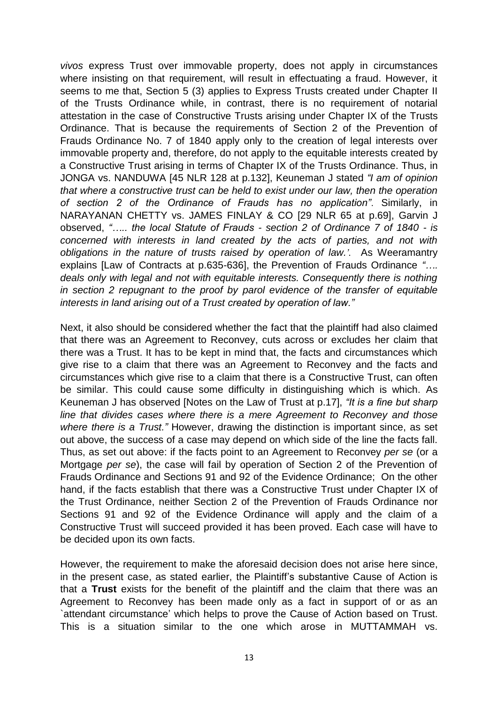*vivos* express Trust over immovable property, does not apply in circumstances where insisting on that requirement, will result in effectuating a fraud. However, it seems to me that, Section 5 (3) applies to Express Trusts created under Chapter II of the Trusts Ordinance while, in contrast, there is no requirement of notarial attestation in the case of Constructive Trusts arising under Chapter IX of the Trusts Ordinance. That is because the requirements of Section 2 of the Prevention of Frauds Ordinance No. 7 of 1840 apply only to the creation of legal interests over immovable property and, therefore, do not apply to the equitable interests created by a Constructive Trust arising in terms of Chapter IX of the Trusts Ordinance. Thus, in JONGA vs. NANDUWA [45 NLR 128 at p.132], Keuneman J stated *"I am of opinion that where a constructive trust can be held to exist under our law, then the operation of section 2 of the Ordinance of Frauds has no application"*. Similarly, in NARAYANAN CHETTY vs. JAMES FINLAY & CO [29 NLR 65 at p.69], Garvin J observed, *"….. the local Statute of Frauds - section 2 of Ordinance 7 of 1840 - is concerned with interests in land created by the acts of parties, and not with obligations in the nature of trusts raised by operation of law.'*. As Weeramantry explains [Law of Contracts at p.635-636], the Prevention of Frauds Ordinance *"…. deals only with legal and not with equitable interests. Consequently there is nothing in section 2 repugnant to the proof by parol evidence of the transfer of equitable interests in land arising out of a Trust created by operation of law."* 

Next, it also should be considered whether the fact that the plaintiff had also claimed that there was an Agreement to Reconvey, cuts across or excludes her claim that there was a Trust. It has to be kept in mind that, the facts and circumstances which give rise to a claim that there was an Agreement to Reconvey and the facts and circumstances which give rise to a claim that there is a Constructive Trust, can often be similar. This could cause some difficulty in distinguishing which is which. As Keuneman J has observed [Notes on the Law of Trust at p.17], *"It is a fine but sharp line that divides cases where there is a mere Agreement to Reconvey and those where there is a Trust."* However, drawing the distinction is important since, as set out above, the success of a case may depend on which side of the line the facts fall. Thus, as set out above: if the facts point to an Agreement to Reconvey *per se* (or a Mortgage *per se*), the case will fail by operation of Section 2 of the Prevention of Frauds Ordinance and Sections 91 and 92 of the Evidence Ordinance; On the other hand, if the facts establish that there was a Constructive Trust under Chapter IX of the Trust Ordinance, neither Section 2 of the Prevention of Frauds Ordinance nor Sections 91 and 92 of the Evidence Ordinance will apply and the claim of a Constructive Trust will succeed provided it has been proved. Each case will have to be decided upon its own facts.

However, the requirement to make the aforesaid decision does not arise here since, in the present case, as stated earlier, the Plaintiff's substantive Cause of Action is that a **Trust** exists for the benefit of the plaintiff and the claim that there was an Agreement to Reconvey has been made only as a fact in support of or as an `attendant circumstance' which helps to prove the Cause of Action based on Trust. This is a situation similar to the one which arose in MUTTAMMAH vs.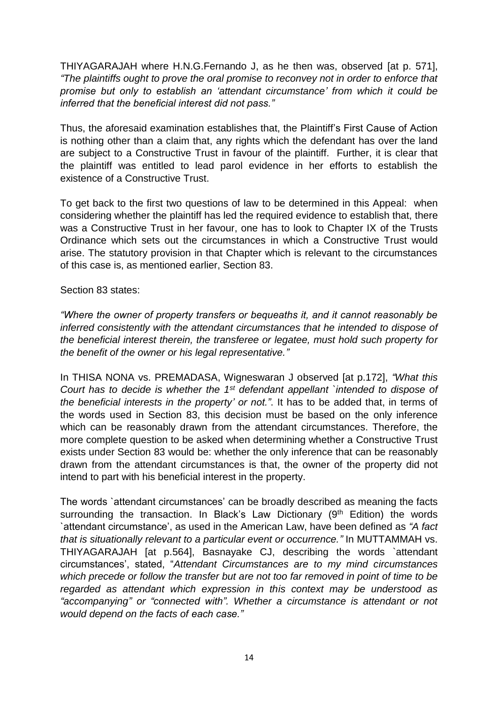THIYAGARAJAH where H.N.G.Fernando J, as he then was, observed [at p. 571], *"The plaintiffs ought to prove the oral promise to reconvey not in order to enforce that promise but only to establish an 'attendant circumstance' from which it could be inferred that the beneficial interest did not pass."*

Thus, the aforesaid examination establishes that, the Plaintiff's First Cause of Action is nothing other than a claim that, any rights which the defendant has over the land are subject to a Constructive Trust in favour of the plaintiff. Further, it is clear that the plaintiff was entitled to lead parol evidence in her efforts to establish the existence of a Constructive Trust.

To get back to the first two questions of law to be determined in this Appeal: when considering whether the plaintiff has led the required evidence to establish that, there was a Constructive Trust in her favour, one has to look to Chapter IX of the Trusts Ordinance which sets out the circumstances in which a Constructive Trust would arise. The statutory provision in that Chapter which is relevant to the circumstances of this case is, as mentioned earlier, Section 83.

# Section 83 states:

*"Where the owner of property transfers or bequeaths it, and it cannot reasonably be inferred consistently with the attendant circumstances that he intended to dispose of the beneficial interest therein, the transferee or legatee, must hold such property for the benefit of the owner or his legal representative."*

In THISA NONA vs. PREMADASA, Wigneswaran J observed [at p.172], *"What this Court has to decide is whether the 1st defendant appellant `intended to dispose of the beneficial interests in the property' or not."*. It has to be added that, in terms of the words used in Section 83, this decision must be based on the only inference which can be reasonably drawn from the attendant circumstances. Therefore, the more complete question to be asked when determining whether a Constructive Trust exists under Section 83 would be: whether the only inference that can be reasonably drawn from the attendant circumstances is that, the owner of the property did not intend to part with his beneficial interest in the property.

The words `attendant circumstances' can be broadly described as meaning the facts surrounding the transaction. In Black's Law Dictionary  $(9<sup>th</sup> Edition)$  the words `attendant circumstance', as used in the American Law, have been defined as *"A fact that is situationally relevant to a particular event or occurrence."* In MUTTAMMAH vs. THIYAGARAJAH [at p.564], Basnayake CJ, describing the words `attendant circumstances', stated, "*Attendant Circumstances are to my mind circumstances which precede or follow the transfer but are not too far removed in point of time to be regarded as attendant which expression in this context may be understood as "accompanying" or "connected with". Whether a circumstance is attendant or not would depend on the facts of each case."*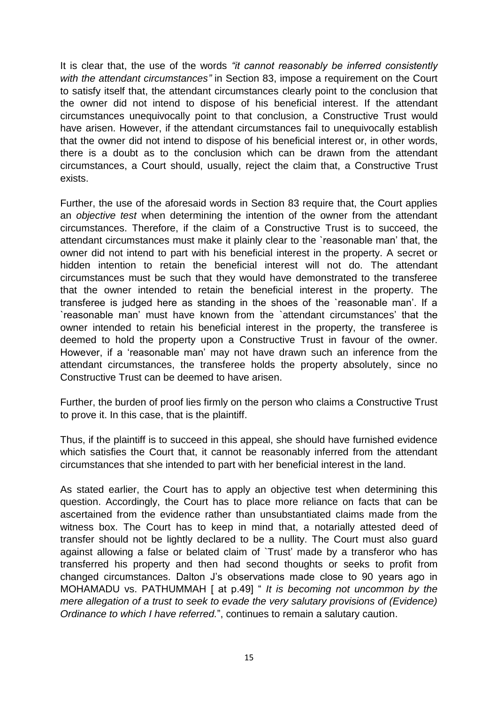It is clear that, the use of the words *"it cannot reasonably be inferred consistently with the attendant circumstances"* in Section 83, impose a requirement on the Court to satisfy itself that, the attendant circumstances clearly point to the conclusion that the owner did not intend to dispose of his beneficial interest. If the attendant circumstances unequivocally point to that conclusion, a Constructive Trust would have arisen. However, if the attendant circumstances fail to unequivocally establish that the owner did not intend to dispose of his beneficial interest or, in other words, there is a doubt as to the conclusion which can be drawn from the attendant circumstances, a Court should, usually, reject the claim that, a Constructive Trust exists.

Further, the use of the aforesaid words in Section 83 require that, the Court applies an *objective test* when determining the intention of the owner from the attendant circumstances. Therefore, if the claim of a Constructive Trust is to succeed, the attendant circumstances must make it plainly clear to the `reasonable man' that, the owner did not intend to part with his beneficial interest in the property. A secret or hidden intention to retain the beneficial interest will not do. The attendant circumstances must be such that they would have demonstrated to the transferee that the owner intended to retain the beneficial interest in the property. The transferee is judged here as standing in the shoes of the `reasonable man'. If a `reasonable man' must have known from the `attendant circumstances' that the owner intended to retain his beneficial interest in the property, the transferee is deemed to hold the property upon a Constructive Trust in favour of the owner. However, if a 'reasonable man' may not have drawn such an inference from the attendant circumstances, the transferee holds the property absolutely, since no Constructive Trust can be deemed to have arisen.

Further, the burden of proof lies firmly on the person who claims a Constructive Trust to prove it. In this case, that is the plaintiff.

Thus, if the plaintiff is to succeed in this appeal, she should have furnished evidence which satisfies the Court that, it cannot be reasonably inferred from the attendant circumstances that she intended to part with her beneficial interest in the land.

As stated earlier, the Court has to apply an objective test when determining this question. Accordingly, the Court has to place more reliance on facts that can be ascertained from the evidence rather than unsubstantiated claims made from the witness box. The Court has to keep in mind that, a notarially attested deed of transfer should not be lightly declared to be a nullity. The Court must also guard against allowing a false or belated claim of `Trust' made by a transferor who has transferred his property and then had second thoughts or seeks to profit from changed circumstances. Dalton J's observations made close to 90 years ago in MOHAMADU vs. PATHUMMAH [ at p.49] " *It is becoming not uncommon by the mere allegation of a trust to seek to evade the very salutary provisions of (Evidence) Ordinance to which I have referred.*", continues to remain a salutary caution.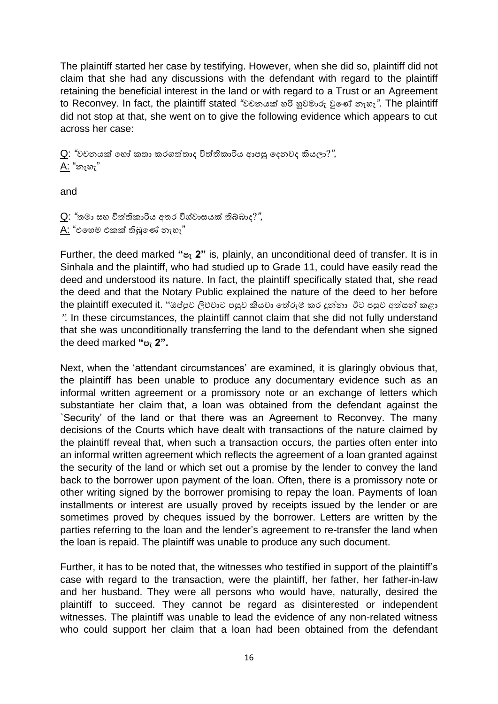The plaintiff started her case by testifying. However, when she did so, plaintiff did not claim that she had any discussions with the defendant with regard to the plaintiff retaining the beneficial interest in the land or with regard to a Trust or an Agreement to Reconvey. In fact, the plaintiff stated *"*වචනයක් හරි හුවමාරු වුලේ නැහැ*"*. The plaintiff did not stop at that, she went on to give the following evidence which appears to cut across her case:

Q: *"*වචනයක් ලහෝ කතා කරෙත්තතාද විත්තිකාරිය ආපසු ලදනවද කියලා?*",*  A: "නැහැ"

and

Q: *"*තමා සහ විත්තිකාරිය අතර විශේවාසයක් ිබ්බාද?*",*   $A$ : "එහෙම එකක් තිබුණේ නැහැ"

Further, the deed marked **"පැ 2"** is, plainly, an unconditional deed of transfer. It is in Sinhala and the plaintiff, who had studied up to Grade 11, could have easily read the deed and understood its nature. In fact, the plaintiff specifically stated that, she read the deed and that the Notary Public explained the nature of the deed to her before the plaintiff executed it. "ඔප්පුව ලිව්වාට පසුව කියවා තේරුම් කර දුන්නා ඊට පසුව අත්සන් කළා ". In these circumstances, the plaintiff cannot claim that she did not fully understand that she was unconditionally transferring the land to the defendant when she signed the deed marked **"පැ 2".**

Next, when the 'attendant circumstances' are examined, it is glaringly obvious that, the plaintiff has been unable to produce any documentary evidence such as an informal written agreement or a promissory note or an exchange of letters which substantiate her claim that, a loan was obtained from the defendant against the `Security' of the land or that there was an Agreement to Reconvey. The many decisions of the Courts which have dealt with transactions of the nature claimed by the plaintiff reveal that, when such a transaction occurs, the parties often enter into an informal written agreement which reflects the agreement of a loan granted against the security of the land or which set out a promise by the lender to convey the land back to the borrower upon payment of the loan. Often, there is a promissory note or other writing signed by the borrower promising to repay the loan. Payments of loan installments or interest are usually proved by receipts issued by the lender or are sometimes proved by cheques issued by the borrower. Letters are written by the parties referring to the loan and the lender's agreement to re-transfer the land when the loan is repaid. The plaintiff was unable to produce any such document.

Further, it has to be noted that, the witnesses who testified in support of the plaintiff's case with regard to the transaction, were the plaintiff, her father, her father-in-law and her husband. They were all persons who would have, naturally, desired the plaintiff to succeed. They cannot be regard as disinterested or independent witnesses. The plaintiff was unable to lead the evidence of any non-related witness who could support her claim that a loan had been obtained from the defendant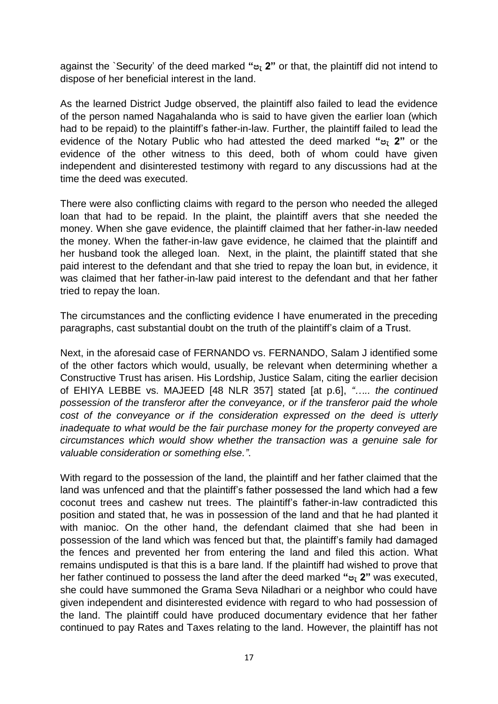against the `Security' of the deed marked **"පැ 2"** or that, the plaintiff did not intend to dispose of her beneficial interest in the land.

As the learned District Judge observed, the plaintiff also failed to lead the evidence of the person named Nagahalanda who is said to have given the earlier loan (which had to be repaid) to the plaintiff's father-in-law. Further, the plaintiff failed to lead the evidence of the Notary Public who had attested the deed marked **"පැ 2"** or the evidence of the other witness to this deed, both of whom could have given independent and disinterested testimony with regard to any discussions had at the time the deed was executed.

There were also conflicting claims with regard to the person who needed the alleged loan that had to be repaid. In the plaint, the plaintiff avers that she needed the money. When she gave evidence, the plaintiff claimed that her father-in-law needed the money. When the father-in-law gave evidence, he claimed that the plaintiff and her husband took the alleged loan. Next, in the plaint, the plaintiff stated that she paid interest to the defendant and that she tried to repay the loan but, in evidence, it was claimed that her father-in-law paid interest to the defendant and that her father tried to repay the loan.

The circumstances and the conflicting evidence I have enumerated in the preceding paragraphs, cast substantial doubt on the truth of the plaintiff's claim of a Trust.

Next, in the aforesaid case of FERNANDO vs. FERNANDO, Salam J identified some of the other factors which would, usually, be relevant when determining whether a Constructive Trust has arisen. His Lordship, Justice Salam, citing the earlier decision of EHIYA LEBBE vs. MAJEED [48 NLR 357] stated [at p.6], *"….. the continued possession of the transferor after the conveyance, or if the transferor paid the whole cost of the conveyance or if the consideration expressed on the deed is utterly inadequate to what would be the fair purchase money for the property conveyed are circumstances which would show whether the transaction was a genuine sale for valuable consideration or something else."*.

With regard to the possession of the land, the plaintiff and her father claimed that the land was unfenced and that the plaintiff's father possessed the land which had a few coconut trees and cashew nut trees. The plaintiff's father-in-law contradicted this position and stated that, he was in possession of the land and that he had planted it with manioc. On the other hand, the defendant claimed that she had been in possession of the land which was fenced but that, the plaintiff's family had damaged the fences and prevented her from entering the land and filed this action. What remains undisputed is that this is a bare land. If the plaintiff had wished to prove that her father continued to possess the land after the deed marked **"පැ 2"** was executed, she could have summoned the Grama Seva Niladhari or a neighbor who could have given independent and disinterested evidence with regard to who had possession of the land. The plaintiff could have produced documentary evidence that her father continued to pay Rates and Taxes relating to the land. However, the plaintiff has not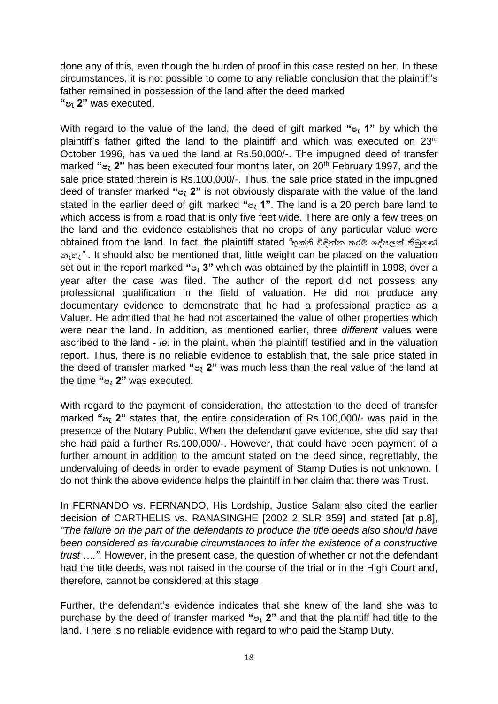done any of this, even though the burden of proof in this case rested on her. In these circumstances, it is not possible to come to any reliable conclusion that the plaintiff's father remained in possession of the land after the deed marked **"පැ 2"** was executed.

With regard to the value of the land, the deed of gift marked **"පැ 1"** by which the plaintiff's father gifted the land to the plaintiff and which was executed on 23rd October 1996, has valued the land at Rs.50,000/-. The impugned deed of transfer marked **"පැ 2"** has been executed four months later, on 20th February 1997, and the sale price stated therein is Rs.100,000/-. Thus, the sale price stated in the impugned deed of transfer marked **"පැ 2"** is not obviously disparate with the value of the land stated in the earlier deed of gift marked **"පැ 1"**. The land is a 20 perch bare land to which access is from a road that is only five feet wide. There are only a few trees on the land and the evidence establishes that no crops of any particular value were obtained from the land. In fact, the plaintiff stated *"*භුක්ති විඳින්න තරම් දේපලක් තිබුණේ නැහැ*"* . It should also be mentioned that, little weight can be placed on the valuation set out in the report marked **"පැ 3"** which was obtained by the plaintiff in 1998, over a year after the case was filed. The author of the report did not possess any professional qualification in the field of valuation. He did not produce any documentary evidence to demonstrate that he had a professional practice as a Valuer. He admitted that he had not ascertained the value of other properties which were near the land. In addition, as mentioned earlier, three *different* values were ascribed to the land - *ie:* in the plaint, when the plaintiff testified and in the valuation report. Thus, there is no reliable evidence to establish that, the sale price stated in the deed of transfer marked **"පැ 2"** was much less than the real value of the land at the time **"පැ 2"** was executed.

With regard to the payment of consideration, the attestation to the deed of transfer marked **"පැ 2"** states that, the entire consideration of Rs.100,000/- was paid in the presence of the Notary Public. When the defendant gave evidence, she did say that she had paid a further Rs.100,000/-. However, that could have been payment of a further amount in addition to the amount stated on the deed since, regrettably, the undervaluing of deeds in order to evade payment of Stamp Duties is not unknown. I do not think the above evidence helps the plaintiff in her claim that there was Trust.

In FERNANDO vs. FERNANDO, His Lordship, Justice Salam also cited the earlier decision of CARTHELIS vs. RANASINGHE [2002 2 SLR 359] and stated [at p.8], *"The failure on the part of the defendants to produce the title deeds also should have been considered as favourable circumstances to infer the existence of a constructive trust …."*. However, in the present case, the question of whether or not the defendant had the title deeds, was not raised in the course of the trial or in the High Court and, therefore, cannot be considered at this stage.

Further, the defendant's evidence indicates that she knew of the land she was to purchase by the deed of transfer marked **"පැ 2"** and that the plaintiff had title to the land. There is no reliable evidence with regard to who paid the Stamp Duty.